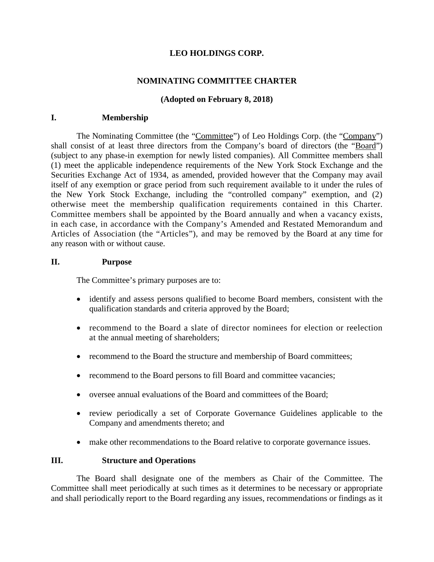# **LEO HOLDINGS CORP.**

# **NOMINATING COMMITTEE CHARTER**

## **(Adopted on February 8, 2018)**

### **I. Membership**

The Nominating Committee (the "Committee") of Leo Holdings Corp. (the "Company") shall consist of at least three directors from the Company's board of directors (the "Board") (subject to any phase-in exemption for newly listed companies). All Committee members shall (1) meet the applicable independence requirements of the New York Stock Exchange and the Securities Exchange Act of 1934, as amended, provided however that the Company may avail itself of any exemption or grace period from such requirement available to it under the rules of the New York Stock Exchange, including the "controlled company" exemption, and (2) otherwise meet the membership qualification requirements contained in this Charter. Committee members shall be appointed by the Board annually and when a vacancy exists, in each case, in accordance with the Company's Amended and Restated Memorandum and Articles of Association (the "Articles"), and may be removed by the Board at any time for any reason with or without cause.

### **II. Purpose**

The Committee's primary purposes are to:

- identify and assess persons qualified to become Board members, consistent with the qualification standards and criteria approved by the Board;
- recommend to the Board a slate of director nominees for election or reelection at the annual meeting of shareholders;
- recommend to the Board the structure and membership of Board committees;
- recommend to the Board persons to fill Board and committee vacancies;
- oversee annual evaluations of the Board and committees of the Board;
- review periodically a set of Corporate Governance Guidelines applicable to the Company and amendments thereto; and
- make other recommendations to the Board relative to corporate governance issues.

#### **III. Structure and Operations**

The Board shall designate one of the members as Chair of the Committee. The Committee shall meet periodically at such times as it determines to be necessary or appropriate and shall periodically report to the Board regarding any issues, recommendations or findings as it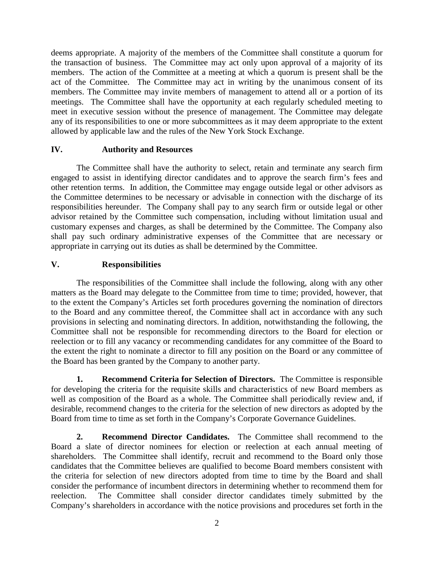deems appropriate. A majority of the members of the Committee shall constitute a quorum for the transaction of business. The Committee may act only upon approval of a majority of its members. The action of the Committee at a meeting at which a quorum is present shall be the act of the Committee. The Committee may act in writing by the unanimous consent of its members. The Committee may invite members of management to attend all or a portion of its meetings. The Committee shall have the opportunity at each regularly scheduled meeting to meet in executive session without the presence of management. The Committee may delegate any of its responsibilities to one or more subcommittees as it may deem appropriate to the extent allowed by applicable law and the rules of the New York Stock Exchange.

# **IV. Authority and Resources**

The Committee shall have the authority to select, retain and terminate any search firm engaged to assist in identifying director candidates and to approve the search firm's fees and other retention terms. In addition, the Committee may engage outside legal or other advisors as the Committee determines to be necessary or advisable in connection with the discharge of its responsibilities hereunder. The Company shall pay to any search firm or outside legal or other advisor retained by the Committee such compensation, including without limitation usual and customary expenses and charges, as shall be determined by the Committee. The Company also shall pay such ordinary administrative expenses of the Committee that are necessary or appropriate in carrying out its duties as shall be determined by the Committee.

# **V. Responsibilities**

The responsibilities of the Committee shall include the following, along with any other matters as the Board may delegate to the Committee from time to time; provided, however, that to the extent the Company's Articles set forth procedures governing the nomination of directors to the Board and any committee thereof, the Committee shall act in accordance with any such provisions in selecting and nominating directors. In addition, notwithstanding the following, the Committee shall not be responsible for recommending directors to the Board for election or reelection or to fill any vacancy or recommending candidates for any committee of the Board to the extent the right to nominate a director to fill any position on the Board or any committee of the Board has been granted by the Company to another party.

**1. Recommend Criteria for Selection of Directors.** The Committee is responsible for developing the criteria for the requisite skills and characteristics of new Board members as well as composition of the Board as a whole. The Committee shall periodically review and, if desirable, recommend changes to the criteria for the selection of new directors as adopted by the Board from time to time as set forth in the Company's Corporate Governance Guidelines.

**2. Recommend Director Candidates.** The Committee shall recommend to the Board a slate of director nominees for election or reelection at each annual meeting of shareholders. The Committee shall identify, recruit and recommend to the Board only those candidates that the Committee believes are qualified to become Board members consistent with the criteria for selection of new directors adopted from time to time by the Board and shall consider the performance of incumbent directors in determining whether to recommend them for reelection. The Committee shall consider director candidates timely submitted by the Company's shareholders in accordance with the notice provisions and procedures set forth in the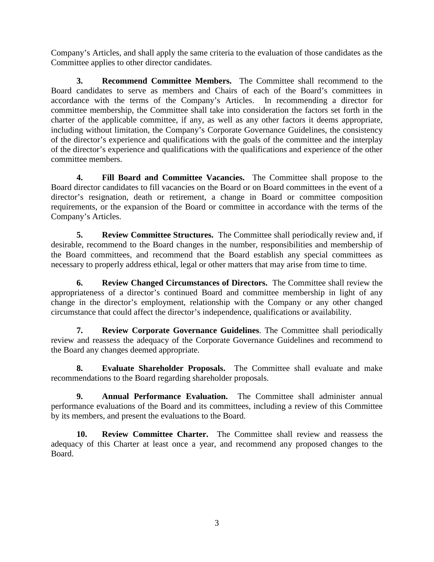Company's Articles, and shall apply the same criteria to the evaluation of those candidates as the Committee applies to other director candidates.

**3. Recommend Committee Members.** The Committee shall recommend to the Board candidates to serve as members and Chairs of each of the Board's committees in accordance with the terms of the Company's Articles. In recommending a director for committee membership, the Committee shall take into consideration the factors set forth in the charter of the applicable committee, if any, as well as any other factors it deems appropriate, including without limitation, the Company's Corporate Governance Guidelines, the consistency of the director's experience and qualifications with the goals of the committee and the interplay of the director's experience and qualifications with the qualifications and experience of the other committee members.

**4. Fill Board and Committee Vacancies.** The Committee shall propose to the Board director candidates to fill vacancies on the Board or on Board committees in the event of a director's resignation, death or retirement, a change in Board or committee composition requirements, or the expansion of the Board or committee in accordance with the terms of the Company's Articles.

**5. Review Committee Structures.** The Committee shall periodically review and, if desirable, recommend to the Board changes in the number, responsibilities and membership of the Board committees, and recommend that the Board establish any special committees as necessary to properly address ethical, legal or other matters that may arise from time to time.

**6. Review Changed Circumstances of Directors.** The Committee shall review the appropriateness of a director's continued Board and committee membership in light of any change in the director's employment, relationship with the Company or any other changed circumstance that could affect the director's independence, qualifications or availability.

**7. Review Corporate Governance Guidelines**. The Committee shall periodically review and reassess the adequacy of the Corporate Governance Guidelines and recommend to the Board any changes deemed appropriate.

**8. Evaluate Shareholder Proposals.** The Committee shall evaluate and make recommendations to the Board regarding shareholder proposals.

**9. Annual Performance Evaluation.** The Committee shall administer annual performance evaluations of the Board and its committees, including a review of this Committee by its members, and present the evaluations to the Board.

**10. Review Committee Charter.** The Committee shall review and reassess the adequacy of this Charter at least once a year, and recommend any proposed changes to the Board.